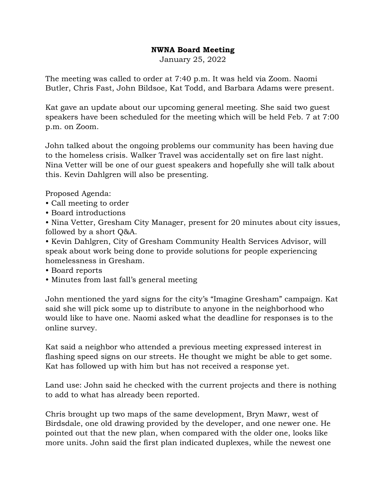## **NWNA Board Meeting**

January 25, 2022

The meeting was called to order at 7:40 p.m. It was held via Zoom. Naomi Butler, Chris Fast, John Bildsoe, Kat Todd, and Barbara Adams were present.

Kat gave an update about our upcoming general meeting. She said two guest speakers have been scheduled for the meeting which will be held Feb. 7 at 7:00 p.m. on Zoom.

John talked about the ongoing problems our community has been having due to the homeless crisis. Walker Travel was accidentally set on fire last night. Nina Vetter will be one of our guest speakers and hopefully she will talk about this. Kevin Dahlgren will also be presenting.

Proposed Agenda:

- Call meeting to order
- Board introductions

• Nina Vetter, Gresham City Manager, present for 20 minutes about city issues, followed by a short Q&A.

• Kevin Dahlgren, City of Gresham Community Health Services Advisor, will speak about work being done to provide solutions for people experiencing homelessness in Gresham.

- Board reports
- Minutes from last fall's general meeting

John mentioned the yard signs for the city's "Imagine Gresham" campaign. Kat said she will pick some up to distribute to anyone in the neighborhood who would like to have one. Naomi asked what the deadline for responses is to the online survey.

Kat said a neighbor who attended a previous meeting expressed interest in flashing speed signs on our streets. He thought we might be able to get some. Kat has followed up with him but has not received a response yet.

Land use: John said he checked with the current projects and there is nothing to add to what has already been reported.

Chris brought up two maps of the same development, Bryn Mawr, west of Birdsdale, one old drawing provided by the developer, and one newer one. He pointed out that the new plan, when compared with the older one, looks like more units. John said the first plan indicated duplexes, while the newest one